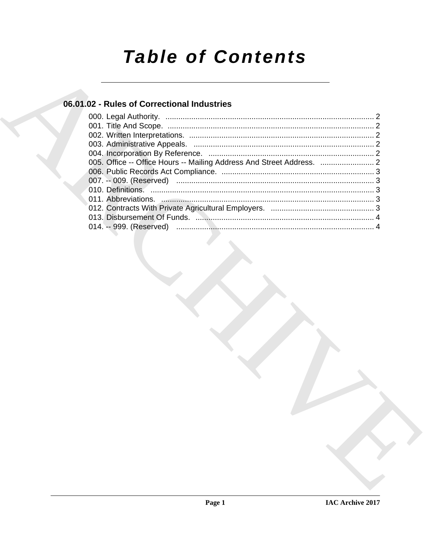# **Table of Contents**

# 06.01.02 - Rules of Correctional Industries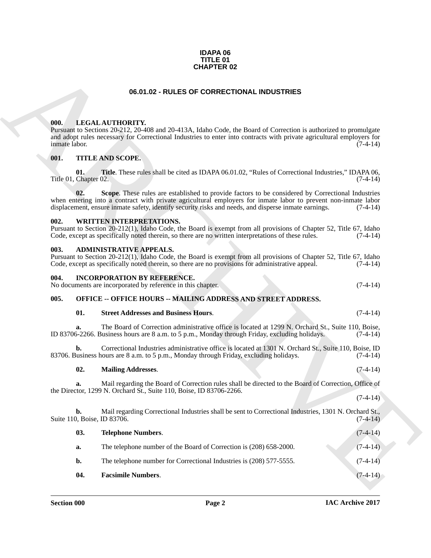#### **IDAPA 06 TITLE 01 CHAPTER 02**

#### **06.01.02 - RULES OF CORRECTIONAL INDUSTRIES**

#### <span id="page-1-9"></span><span id="page-1-1"></span><span id="page-1-0"></span>**000. LEGAL AUTHORITY.**

#### <span id="page-1-11"></span><span id="page-1-2"></span>**001. TITLE AND SCOPE.**

#### <span id="page-1-12"></span><span id="page-1-3"></span>**002. WRITTEN INTERPRETATIONS.**

#### <span id="page-1-7"></span><span id="page-1-4"></span>**003. ADMINISTRATIVE APPEALS.**

#### <span id="page-1-8"></span><span id="page-1-5"></span>**004. INCORPORATION BY REFERENCE.**

#### <span id="page-1-6"></span>**005. OFFICE -- OFFICE HOURS -- MAILING ADDRESS AND STREET ADDRESS.**

#### <span id="page-1-10"></span>**01. Street Addresses and Business Hours**. (7-4-14)

#### **02. Mailing Addresses**. (7-4-14)

| <b>CHAPTER 02</b>             |     |                                                                                                                                                                                                                                                                                                                             |            |  |
|-------------------------------|-----|-----------------------------------------------------------------------------------------------------------------------------------------------------------------------------------------------------------------------------------------------------------------------------------------------------------------------------|------------|--|
|                               |     | 06.01.02 - RULES OF CORRECTIONAL INDUSTRIES                                                                                                                                                                                                                                                                                 |            |  |
| 000.<br>inmate labor.<br>001. |     | LEGAL AUTHORITY.<br>Pursuant to Sections 20-212, 20-408 and 20-413A, Idaho Code, the Board of Correction is authorized to promulgate<br>and adopt rules necessary for Correctional Industries to enter into contracts with private agricultural employers for<br><b>TITLE AND SCOPE.</b>                                    | $(7-4-14)$ |  |
| Title 01, Chapter 02.         | 01. | <b>Title.</b> These rules shall be cited as IDAPA 06.01.02, "Rules of Correctional Industries," IDAPA 06,                                                                                                                                                                                                                   | $(7-4-14)$ |  |
|                               | 02. | Scope. These rules are established to provide factors to be considered by Correctional Industries<br>when entering into a contract with private agricultural employers for inmate labor to prevent non-inmate labor<br>displacement, ensure inmate safety, identify security risks and needs, and disperse inmate earnings. | $(7-4-14)$ |  |
| 002.                          |     | <b>WRITTEN INTERPRETATIONS.</b><br>Pursuant to Section 20-212(1), Idaho Code, the Board is exempt from all provisions of Chapter 52, Title 67, Idaho<br>Code, except as specifically noted therein, so there are no written interpretations of these rules.                                                                 | $(7-4-14)$ |  |
| 003.                          |     | <b>ADMINISTRATIVE APPEALS.</b><br>Pursuant to Section 20-212(1), Idaho Code, the Board is exempt from all provisions of Chapter 52, Title 67, Idaho<br>Code, except as specifically noted therein, so there are no provisions for administrative appeal.                                                                    | $(7-4-14)$ |  |
| 004.                          |     | INCORPORATION BY REFERENCE.<br>No documents are incorporated by reference in this chapter.                                                                                                                                                                                                                                  | $(7-4-14)$ |  |
| 005.                          |     | <b>OFFICE -- OFFICE HOURS -- MAILING ADDRESS AND STREET ADDRESS.</b>                                                                                                                                                                                                                                                        |            |  |
|                               | 01. | <b>Street Addresses and Business Hours.</b>                                                                                                                                                                                                                                                                                 | $(7-4-14)$ |  |
|                               | a.  | The Board of Correction administrative office is located at 1299 N. Orchard St., Suite 110, Boise,<br>ID 83706-2266. Business hours are 8 a.m. to 5 p.m., Monday through Friday, excluding holidays.                                                                                                                        | $(7-4-14)$ |  |
|                               | b.  | Correctional Industries administrative office is located at 1301 N. Orchard St., Suite 110, Boise, ID<br>83706. Business hours are 8 a.m. to 5 p.m., Monday through Friday, excluding holidays.                                                                                                                             | $(7-4-14)$ |  |
|                               | 02. | <b>Mailing Addresses.</b>                                                                                                                                                                                                                                                                                                   | $(7-4-14)$ |  |
|                               | a.  | Mail regarding the Board of Correction rules shall be directed to the Board of Correction, Office of<br>the Director, 1299 N. Orchard St., Suite 110, Boise, ID 83706-2266.                                                                                                                                                 |            |  |
|                               |     |                                                                                                                                                                                                                                                                                                                             | $(7-4-14)$ |  |
|                               | b.  | Mail regarding Correctional Industries shall be sent to Correctional Industries, 1301 N. Orchard St.,<br>Suite 110, Boise, ID 83706.                                                                                                                                                                                        | $(7-4-14)$ |  |
|                               | 03. | <b>Telephone Numbers.</b>                                                                                                                                                                                                                                                                                                   | $(7-4-14)$ |  |
|                               | a.  | The telephone number of the Board of Correction is (208) 658-2000.                                                                                                                                                                                                                                                          | $(7-4-14)$ |  |
|                               | b.  | The telephone number for Correctional Industries is (208) 577-5555.                                                                                                                                                                                                                                                         | $(7-4-14)$ |  |
|                               | 04. | <b>Facsimile Numbers.</b>                                                                                                                                                                                                                                                                                                   | $(7-4-14)$ |  |
|                               |     |                                                                                                                                                                                                                                                                                                                             |            |  |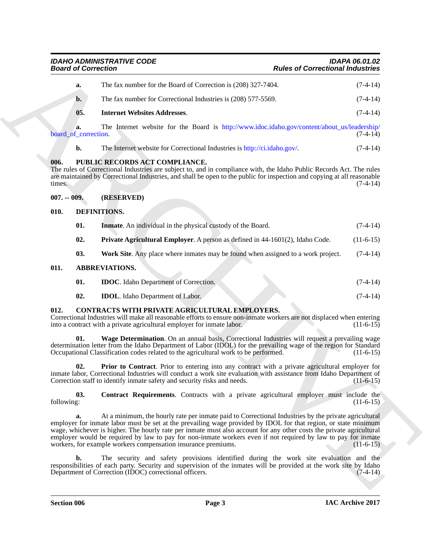| <b>IDAHO ADMINISTRATIVE CODE</b> | IDAPA 06.01.02                          |
|----------------------------------|-----------------------------------------|
| <b>Board of Correction</b>       | <b>Rules of Correctional Industries</b> |

| а.                         | The fax number for the Board of Correction is (208) 327-7404.                                | $(7-4-14)$ |
|----------------------------|----------------------------------------------------------------------------------------------|------------|
| $\mathbf{b}$ .             | The fax number for Correctional Industries is (208) 577-5569.                                | $(7-4-14)$ |
| 05.                        | <b>Internet Websites Addresses.</b>                                                          | $(7-4-14)$ |
| а.<br>board of correction. | The Internet website for the Board is http://www.idoc.idaho.gov/content/about_us/leadership/ | $(7-4-14)$ |

#### <span id="page-2-16"></span><span id="page-2-0"></span>**006. PUBLIC RECORDS ACT COMPLIANCE.**

### <span id="page-2-1"></span>**007. -- 009. (RESERVED)**

#### <span id="page-2-15"></span><span id="page-2-14"></span><span id="page-2-13"></span><span id="page-2-12"></span><span id="page-2-2"></span>**010. DEFINITIONS.**

| <b>Board of Correction</b> |                                                                                                                                                                                                                                                                                                                                                                                                                                                                                                                                   | <b>Rules of Correctional Industries</b> |  |
|----------------------------|-----------------------------------------------------------------------------------------------------------------------------------------------------------------------------------------------------------------------------------------------------------------------------------------------------------------------------------------------------------------------------------------------------------------------------------------------------------------------------------------------------------------------------------|-----------------------------------------|--|
| a.                         | The fax number for the Board of Correction is (208) 327-7404.                                                                                                                                                                                                                                                                                                                                                                                                                                                                     | $(7-4-14)$                              |  |
| $\mathbf{b}$ .             | The fax number for Correctional Industries is (208) 577-5569.                                                                                                                                                                                                                                                                                                                                                                                                                                                                     | $(7-4-14)$                              |  |
| 05.                        | <b>Internet Websites Addresses.</b>                                                                                                                                                                                                                                                                                                                                                                                                                                                                                               | $(7-4-14)$                              |  |
| a.<br>board_of_correction. | The Internet website for the Board is http://www.idoc.idaho.gov/content/about_us/leadership/                                                                                                                                                                                                                                                                                                                                                                                                                                      | $(7-4-14)$                              |  |
| b.                         | The Internet website for Correctional Industries is http://ci.idaho.gov/.                                                                                                                                                                                                                                                                                                                                                                                                                                                         | $(7-4-14)$                              |  |
| 006.<br>times.             | PUBLIC RECORDS ACT COMPLIANCE.<br>The rules of Correctional Industries are subject to, and in compliance with, the Idaho Public Records Act. The rules<br>are maintained by Correctional Industries, and shall be open to the public for inspection and copying at all reasonable                                                                                                                                                                                                                                                 | $(7-4-14)$                              |  |
| $007. -009.$               | (RESERVED)                                                                                                                                                                                                                                                                                                                                                                                                                                                                                                                        |                                         |  |
| 010.                       | DEFINITIONS.                                                                                                                                                                                                                                                                                                                                                                                                                                                                                                                      |                                         |  |
| 01.                        | <b>Inmate.</b> An individual in the physical custody of the Board.                                                                                                                                                                                                                                                                                                                                                                                                                                                                | $(7-4-14)$                              |  |
| 02.                        | Private Agricultural Employer. A person as defined in 44-1601(2), Idaho Code.                                                                                                                                                                                                                                                                                                                                                                                                                                                     | $(11-6-15)$                             |  |
| 03.                        | Work Site. Any place where inmates may be found when assigned to a work project.                                                                                                                                                                                                                                                                                                                                                                                                                                                  | $(7-4-14)$                              |  |
| 011.                       | <b>ABBREVIATIONS.</b>                                                                                                                                                                                                                                                                                                                                                                                                                                                                                                             |                                         |  |
| 01.                        | <b>IDOC</b> . Idaho Department of Correction.                                                                                                                                                                                                                                                                                                                                                                                                                                                                                     | $(7-4-14)$                              |  |
| 02.                        | <b>IDOL</b> . Idaho Department of Labor.                                                                                                                                                                                                                                                                                                                                                                                                                                                                                          | $(7-4-14)$                              |  |
| 012.                       | CONTRACTS WITH PRIVATE AGRICULTURAL EMPLOYERS.<br>Correctional Industries will make all reasonable efforts to ensure non-inmate workers are not displaced when entering<br>into a contract with a private agricultural employer for inmate labor.                                                                                                                                                                                                                                                                                 | $(11-6-15)$                             |  |
| 01.                        | Wage Determination. On an annual basis, Correctional Industries will request a prevailing wage<br>determination letter from the Idaho Department of Labor (IDOL) for the prevailing wage of the region for Standard<br>Occupational Classification codes related to the agricultural work to be performed.                                                                                                                                                                                                                        | $(11-6-15)$                             |  |
| 02.                        | <b>Prior to Contract.</b> Prior to entering into any contract with a private agricultural employer for<br>inmate labor, Correctional Industries will conduct a work site evaluation with assistance from Idaho Department of<br>Correction staff to identify inmate safety and security risks and needs.                                                                                                                                                                                                                          | $(11-6-15)$                             |  |
| 03.<br>following:          | <b>Contract Requirements.</b> Contracts with a private agricultural employer must include the                                                                                                                                                                                                                                                                                                                                                                                                                                     | $(11-6-15)$                             |  |
| a.                         | At a minimum, the hourly rate per inmate paid to Correctional Industries by the private agricultural<br>employer for inmate labor must be set at the prevailing wage provided by IDOL for that region, or state minimum<br>wage, whichever is higher. The hourly rate per inmate must also account for any other costs the private agricultural<br>employer would be required by law to pay for non-inmate workers even if not required by law to pay for inmate<br>workers, for example workers compensation insurance premiums. | $(11-6-15)$                             |  |
| b.                         | The security and safety provisions identified during the work site evaluation and the<br>responsibilities of each party. Security and supervision of the inmates will be provided at the work site by Idaho<br>Department of Correction (IDOC) correctional officers.                                                                                                                                                                                                                                                             | $(7-4-14)$                              |  |
|                            |                                                                                                                                                                                                                                                                                                                                                                                                                                                                                                                                   |                                         |  |

### <span id="page-2-11"></span><span id="page-2-10"></span><span id="page-2-9"></span><span id="page-2-8"></span><span id="page-2-7"></span><span id="page-2-6"></span><span id="page-2-5"></span><span id="page-2-4"></span><span id="page-2-3"></span>**012. CONTRACTS WITH PRIVATE AGRICULTURAL EMPLOYERS.**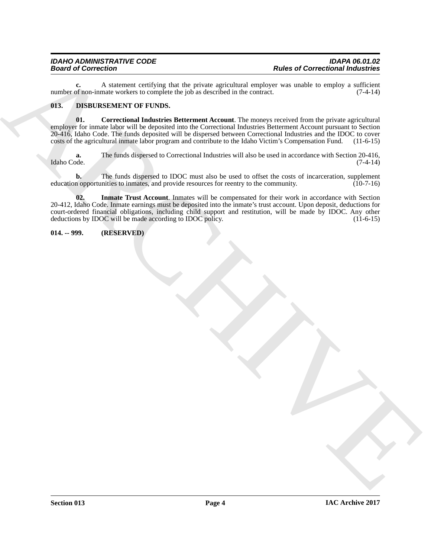**c.** A statement certifying that the private agricultural employer was unable to employ a sufficient of non-inmate workers to complete the job as described in the contract. (7-4-14) number of non-inmate workers to complete the job as described in the contract.

#### <span id="page-3-2"></span><span id="page-3-0"></span>**013. DISBURSEMENT OF FUNDS.**

<span id="page-3-3"></span>**01.** Correctional Industries Betterment Account. The moneys received from the private agricultural employer for inmate labor will be deposited into the Correctional Industries Betterment Account pursuant to Section 20-416, Idaho Code. The funds deposited will be dispersed between Correctional Industries and the IDOC to cover costs of the agricultural inmate labor program and contribute to the Idaho Victim's Compensation Fund. (11-6-15)

**a.** The funds dispersed to Correctional Industries will also be used in accordance with Section 20-416, Idaho Code. (7-4-14) Idaho Code. (7-4-14)

<span id="page-3-4"></span>**b.** The funds dispersed to IDOC must also be used to offset the costs of incarceration, supplement education opportunities to inmates, and provide resources for reentry to the community. (10-7-16)

**Example of Correctional Individual Control of the Correction of the Correction of the Correction of the Correction of the Correction of the Correction of the Correction of the Correction of the Correction of the Correcti 02. Inmate Trust Account**. Inmates will be compensated for their work in accordance with Section 20-412, Idaho Code. Inmate earnings must be deposited into the inmate's trust account. Upon deposit, deductions for court-ordered financial obligations, including child support and restitution, will be made by IDOC. Any other deductions by IDOC will be made according to IDOC policy. (11-6-15)

<span id="page-3-1"></span>**014. -- 999. (RESERVED)**